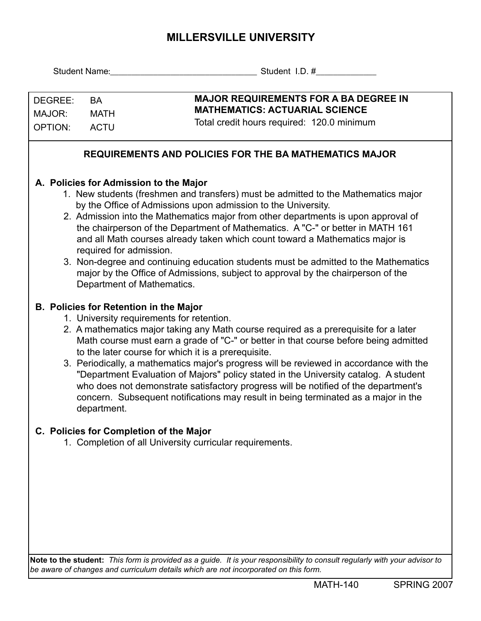## **MILLERSVILLE UNIVERSITY**

|                                                                                                                            | <b>Student Name:</b>                                                                                    | Student I.D. #                                                                                                                                      |  |  |  |  |  |  |  |  |  |
|----------------------------------------------------------------------------------------------------------------------------|---------------------------------------------------------------------------------------------------------|-----------------------------------------------------------------------------------------------------------------------------------------------------|--|--|--|--|--|--|--|--|--|
|                                                                                                                            |                                                                                                         |                                                                                                                                                     |  |  |  |  |  |  |  |  |  |
| DEGREE:                                                                                                                    | <b>BA</b>                                                                                               | <b>MAJOR REQUIREMENTS FOR A BA DEGREE IN</b>                                                                                                        |  |  |  |  |  |  |  |  |  |
| MAJOR:                                                                                                                     | <b>MATH</b>                                                                                             | <b>MATHEMATICS: ACTUARIAL SCIENCE</b>                                                                                                               |  |  |  |  |  |  |  |  |  |
| <b>ACTU</b><br><b>OPTION:</b>                                                                                              |                                                                                                         | Total credit hours required: 120.0 minimum                                                                                                          |  |  |  |  |  |  |  |  |  |
|                                                                                                                            |                                                                                                         |                                                                                                                                                     |  |  |  |  |  |  |  |  |  |
| <b>REQUIREMENTS AND POLICIES FOR THE BA MATHEMATICS MAJOR</b>                                                              |                                                                                                         |                                                                                                                                                     |  |  |  |  |  |  |  |  |  |
|                                                                                                                            |                                                                                                         |                                                                                                                                                     |  |  |  |  |  |  |  |  |  |
| A. Policies for Admission to the Major                                                                                     |                                                                                                         |                                                                                                                                                     |  |  |  |  |  |  |  |  |  |
|                                                                                                                            |                                                                                                         | 1. New students (freshmen and transfers) must be admitted to the Mathematics major<br>by the Office of Admissions upon admission to the University. |  |  |  |  |  |  |  |  |  |
|                                                                                                                            |                                                                                                         | 2. Admission into the Mathematics major from other departments is upon approval of                                                                  |  |  |  |  |  |  |  |  |  |
|                                                                                                                            | the chairperson of the Department of Mathematics. A "C-" or better in MATH 161                          |                                                                                                                                                     |  |  |  |  |  |  |  |  |  |
|                                                                                                                            | and all Math courses already taken which count toward a Mathematics major is<br>required for admission. |                                                                                                                                                     |  |  |  |  |  |  |  |  |  |
|                                                                                                                            | 3. Non-degree and continuing education students must be admitted to the Mathematics                     |                                                                                                                                                     |  |  |  |  |  |  |  |  |  |
| major by the Office of Admissions, subject to approval by the chairperson of the                                           |                                                                                                         |                                                                                                                                                     |  |  |  |  |  |  |  |  |  |
|                                                                                                                            |                                                                                                         | Department of Mathematics.                                                                                                                          |  |  |  |  |  |  |  |  |  |
|                                                                                                                            |                                                                                                         |                                                                                                                                                     |  |  |  |  |  |  |  |  |  |
|                                                                                                                            | <b>B. Policies for Retention in the Major</b><br>1. University requirements for retention.              |                                                                                                                                                     |  |  |  |  |  |  |  |  |  |
|                                                                                                                            | 2. A mathematics major taking any Math course required as a prerequisite for a later                    |                                                                                                                                                     |  |  |  |  |  |  |  |  |  |
|                                                                                                                            |                                                                                                         | Math course must earn a grade of "C-" or better in that course before being admitted<br>to the later course for which it is a prerequisite.         |  |  |  |  |  |  |  |  |  |
|                                                                                                                            |                                                                                                         | 3. Periodically, a mathematics major's progress will be reviewed in accordance with the                                                             |  |  |  |  |  |  |  |  |  |
|                                                                                                                            |                                                                                                         | "Department Evaluation of Majors" policy stated in the University catalog. A student                                                                |  |  |  |  |  |  |  |  |  |
|                                                                                                                            |                                                                                                         | who does not demonstrate satisfactory progress will be notified of the department's                                                                 |  |  |  |  |  |  |  |  |  |
|                                                                                                                            | department.                                                                                             | concern. Subsequent notifications may result in being terminated as a major in the                                                                  |  |  |  |  |  |  |  |  |  |
|                                                                                                                            |                                                                                                         |                                                                                                                                                     |  |  |  |  |  |  |  |  |  |
|                                                                                                                            |                                                                                                         | C. Policies for Completion of the Major                                                                                                             |  |  |  |  |  |  |  |  |  |
|                                                                                                                            |                                                                                                         | 1. Completion of all University curricular requirements.                                                                                            |  |  |  |  |  |  |  |  |  |
|                                                                                                                            |                                                                                                         |                                                                                                                                                     |  |  |  |  |  |  |  |  |  |
|                                                                                                                            |                                                                                                         |                                                                                                                                                     |  |  |  |  |  |  |  |  |  |
|                                                                                                                            |                                                                                                         |                                                                                                                                                     |  |  |  |  |  |  |  |  |  |
|                                                                                                                            |                                                                                                         |                                                                                                                                                     |  |  |  |  |  |  |  |  |  |
|                                                                                                                            |                                                                                                         |                                                                                                                                                     |  |  |  |  |  |  |  |  |  |
|                                                                                                                            |                                                                                                         |                                                                                                                                                     |  |  |  |  |  |  |  |  |  |
|                                                                                                                            |                                                                                                         |                                                                                                                                                     |  |  |  |  |  |  |  |  |  |
| Note to the student: This form is provided as a guide. It is your responsibility to consult regularly with your advisor to |                                                                                                         |                                                                                                                                                     |  |  |  |  |  |  |  |  |  |

*be aware of changes and curriculum details which are not incorporated on this form.*

MATH-140 SPRING 2007